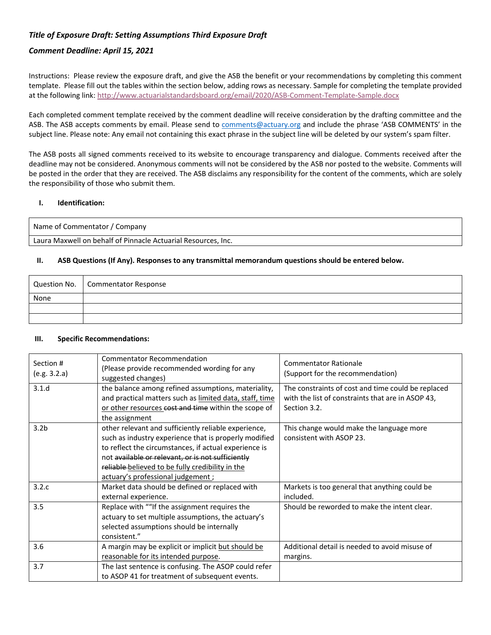## *Title of Exposure Draft: Setting Assumptions Third Exposure Draft*

### *Comment Deadline: April 15, 2021*

Instructions: Please review the exposure draft, and give the ASB the benefit or your recommendations by completing this comment template. Please fill out the tables within the section below, adding rows as necessary. Sample for completing the template provided at the following link: <http://www.actuarialstandardsboard.org/email/2020/ASB-Comment-Template-Sample.docx>

Each completed comment template received by the comment deadline will receive consideration by the drafting committee and the ASB. The ASB accepts comments by email. Please send to [comments@actuary.org](about:blank) and include the phrase 'ASB COMMENTS' in the subject line. Please note: Any email not containing this exact phrase in the subject line will be deleted by our system's spam filter.

The ASB posts all signed comments received to its website to encourage transparency and dialogue. Comments received after the deadline may not be considered. Anonymous comments will not be considered by the ASB nor posted to the website. Comments will be posted in the order that they are received. The ASB disclaims any responsibility for the content of the comments, which are solely the responsibility of those who submit them.

#### **I. Identification:**

Name of Commentator / Company

Laura Maxwell on behalf of Pinnacle Actuarial Resources, Inc.

### **II. ASB Questions (If Any). Responses to any transmittal memorandum questions should be entered below.**

|      | Question No.   Commentator Response |
|------|-------------------------------------|
| None |                                     |
|      |                                     |
|      |                                     |

#### **III. Specific Recommendations:**

| Section #<br>(e.g. 3.2.a) | <b>Commentator Recommendation</b><br>(Please provide recommended wording for any<br>suggested changes)                                                                                                                                                                                                               | <b>Commentator Rationale</b><br>(Support for the recommendation)                                                        |
|---------------------------|----------------------------------------------------------------------------------------------------------------------------------------------------------------------------------------------------------------------------------------------------------------------------------------------------------------------|-------------------------------------------------------------------------------------------------------------------------|
| 3.1.d                     | the balance among refined assumptions, materiality,<br>and practical matters such as limited data, staff, time<br>or other resources cost and time within the scope of<br>the assignment                                                                                                                             | The constraints of cost and time could be replaced<br>with the list of constraints that are in ASOP 43,<br>Section 3.2. |
| 3.2 <sub>b</sub>          | other relevant and sufficiently reliable experience,<br>such as industry experience that is properly modified<br>to reflect the circumstances, if actual experience is<br>not available or relevant, or is not sufficiently<br>reliable believed to be fully credibility in the<br>actuary's professional judgement; | This change would make the language more<br>consistent with ASOP 23.                                                    |
| 3.2.c                     | Market data should be defined or replaced with<br>external experience.                                                                                                                                                                                                                                               | Markets is too general that anything could be<br>included.                                                              |
| 3.5                       | Replace with ""If the assignment requires the<br>actuary to set multiple assumptions, the actuary's<br>selected assumptions should be internally<br>consistent."                                                                                                                                                     | Should be reworded to make the intent clear.                                                                            |
| 3.6                       | A margin may be explicit or implicit but should be<br>reasonable for its intended purpose.                                                                                                                                                                                                                           | Additional detail is needed to avoid misuse of<br>margins.                                                              |
| 3.7                       | The last sentence is confusing. The ASOP could refer<br>to ASOP 41 for treatment of subsequent events.                                                                                                                                                                                                               |                                                                                                                         |